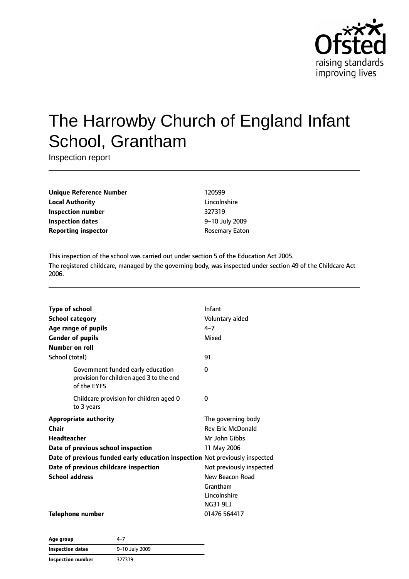

# The Harrowby Church of England Infant School, Grantham

Inspection report

**Unique Reference Number** 120599 **Local Authority** Lincolnshire **Inspection number** 327319 **Inspection dates** 9–10 July 2009 **Reporting inspector CONSERVING REPORTING REPORT** ROSEMARY Eaton

This inspection of the school was carried out under section 5 of the Education Act 2005. The registered childcare, managed by the governing body, was inspected under section 49 of the Childcare Act 2006.

| <b>Type of school</b> |                                                                                              | Infant                   |
|-----------------------|----------------------------------------------------------------------------------------------|--------------------------|
|                       | <b>School category</b>                                                                       | Voluntary aided          |
|                       | Age range of pupils                                                                          | $4 - 7$                  |
|                       | <b>Gender of pupils</b>                                                                      | Mixed                    |
| Number on roll        |                                                                                              |                          |
| School (total)        |                                                                                              | 91                       |
|                       | Government funded early education<br>provision for children aged 3 to the end<br>of the EYFS | 0                        |
|                       | Childcare provision for children aged 0<br>to 3 years                                        | 0                        |
|                       | <b>Appropriate authority</b>                                                                 | The governing body       |
| Chair                 |                                                                                              | <b>Rev Eric McDonald</b> |
| Headteacher           |                                                                                              | Mr John Gibbs            |
|                       | Date of previous school inspection                                                           | 11 May 2006              |
|                       | Date of previous funded early education inspection Not previously inspected                  |                          |
|                       | Date of previous childcare inspection                                                        | Not previously inspected |
| <b>School address</b> |                                                                                              | New Beacon Road          |
|                       |                                                                                              | Grantham                 |
|                       |                                                                                              | Lincolnshire             |
|                       |                                                                                              | <b>NG31 9LJ</b>          |
|                       | <b>Telephone number</b>                                                                      | 01476 564417             |

| Age group                | $4 - 7$        |
|--------------------------|----------------|
| Inspection dates         | 9-10 July 2009 |
| <b>Inspection number</b> | 327319         |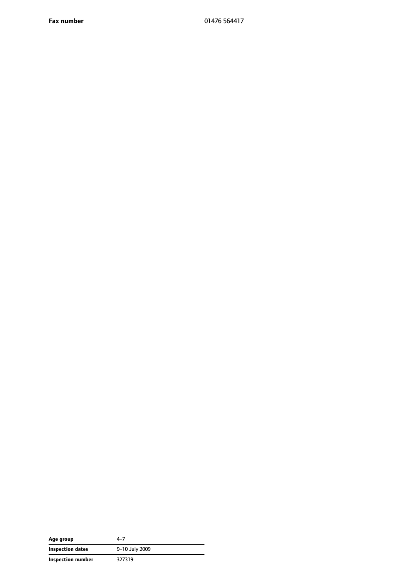**Fax number** 01476 564417

| Age group         | $4 - 7$        |
|-------------------|----------------|
| Inspection dates  | 9-10 July 2009 |
| Inspection number | 327319         |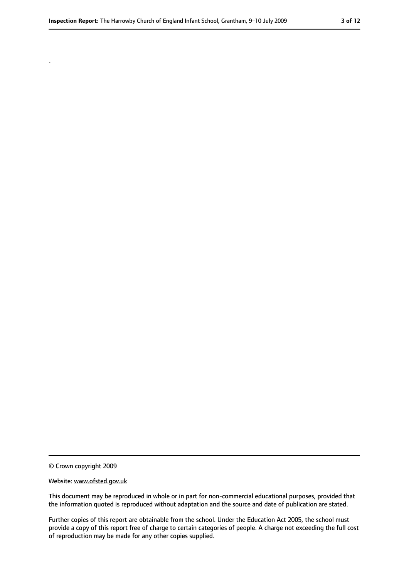.

<sup>©</sup> Crown copyright 2009

Website: www.ofsted.gov.uk

This document may be reproduced in whole or in part for non-commercial educational purposes, provided that the information quoted is reproduced without adaptation and the source and date of publication are stated.

Further copies of this report are obtainable from the school. Under the Education Act 2005, the school must provide a copy of this report free of charge to certain categories of people. A charge not exceeding the full cost of reproduction may be made for any other copies supplied.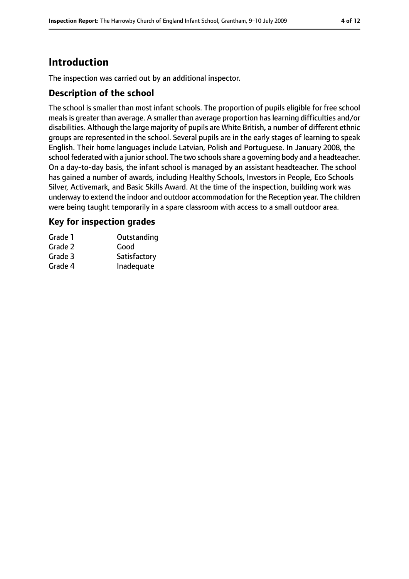## **Introduction**

The inspection was carried out by an additional inspector.

#### **Description of the school**

The school is smaller than most infant schools. The proportion of pupils eligible for free school meals is greater than average. A smaller than average proportion has learning difficulties and/or disabilities. Although the large majority of pupils are White British, a number of different ethnic groups are represented in the school. Several pupils are in the early stages of learning to speak English. Their home languages include Latvian, Polish and Portuguese. In January 2008, the school federated with a junior school. The two schools share a governing body and a headteacher. On a day-to-day basis, the infant school is managed by an assistant headteacher. The school has gained a number of awards, including Healthy Schools, Investors in People, Eco Schools Silver, Activemark, and Basic Skills Award. At the time of the inspection, building work was underway to extend the indoor and outdoor accommodation for the Reception year. The children were being taught temporarily in a spare classroom with access to a small outdoor area.

#### **Key for inspection grades**

| Grade 1 | Outstanding  |
|---------|--------------|
| Grade 2 | Good         |
| Grade 3 | Satisfactory |
| Grade 4 | Inadequate   |
|         |              |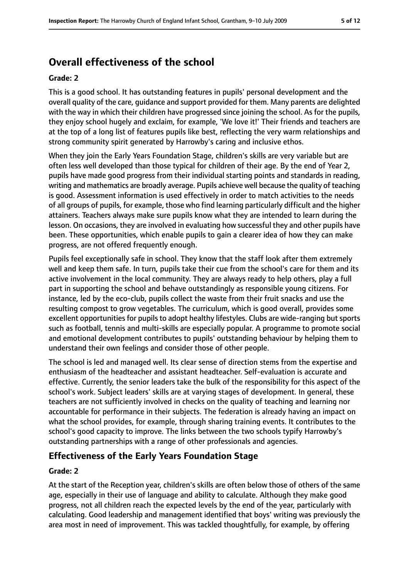## **Overall effectiveness of the school**

#### **Grade: 2**

This is a good school. It has outstanding features in pupils' personal development and the overall quality of the care, guidance and support provided for them. Many parents are delighted with the way in which their children have progressed since joining the school. As for the pupils, they enjoy school hugely and exclaim, for example, 'We love it!' Their friends and teachers are at the top of a long list of features pupils like best, reflecting the very warm relationships and strong community spirit generated by Harrowby's caring and inclusive ethos.

When they join the Early Years Foundation Stage, children's skills are very variable but are often less well developed than those typical for children of their age. By the end of Year 2, pupils have made good progress from their individual starting points and standards in reading, writing and mathematics are broadly average. Pupils achieve well because the quality of teaching is good. Assessment information is used effectively in order to match activities to the needs of all groups of pupils, for example, those who find learning particularly difficult and the higher attainers. Teachers always make sure pupils know what they are intended to learn during the lesson. On occasions, they are involved in evaluating how successful they and other pupils have been. These opportunities, which enable pupils to gain a clearer idea of how they can make progress, are not offered frequently enough.

Pupils feel exceptionally safe in school. They know that the staff look after them extremely well and keep them safe. In turn, pupils take their cue from the school's care for them and its active involvement in the local community. They are always ready to help others, play a full part in supporting the school and behave outstandingly as responsible young citizens. For instance, led by the eco-club, pupils collect the waste from their fruit snacks and use the resulting compost to grow vegetables. The curriculum, which is good overall, provides some excellent opportunities for pupils to adopt healthy lifestyles. Clubs are wide-ranging but sports such as football, tennis and multi-skills are especially popular. A programme to promote social and emotional development contributes to pupils' outstanding behaviour by helping them to understand their own feelings and consider those of other people.

The school is led and managed well. Its clear sense of direction stems from the expertise and enthusiasm of the headteacher and assistant headteacher. Self-evaluation is accurate and effective. Currently, the senior leaders take the bulk of the responsibility for this aspect of the school's work. Subject leaders' skills are at varying stages of development. In general, these teachers are not sufficiently involved in checks on the quality of teaching and learning nor accountable for performance in their subjects. The federation is already having an impact on what the school provides, for example, through sharing training events. It contributes to the school's good capacity to improve. The links between the two schools typify Harrowby's outstanding partnerships with a range of other professionals and agencies.

#### **Effectiveness of the Early Years Foundation Stage**

#### **Grade: 2**

At the start of the Reception year, children's skills are often below those of others of the same age, especially in their use of language and ability to calculate. Although they make good progress, not all children reach the expected levels by the end of the year, particularly with calculating. Good leadership and management identified that boys' writing was previously the area most in need of improvement. This was tackled thoughtfully, for example, by offering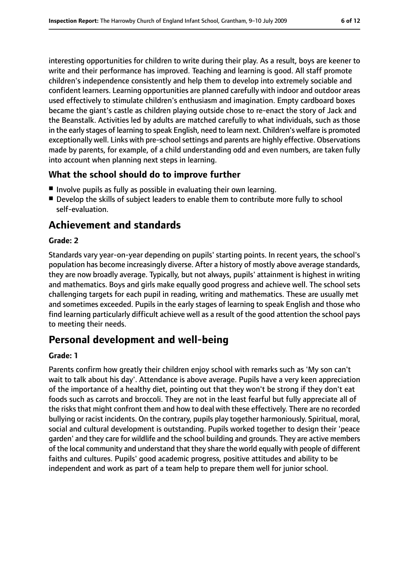interesting opportunities for children to write during their play. As a result, boys are keener to write and their performance has improved. Teaching and learning is good. All staff promote children's independence consistently and help them to develop into extremely sociable and confident learners. Learning opportunities are planned carefully with indoor and outdoor areas used effectively to stimulate children's enthusiasm and imagination. Empty cardboard boxes became the giant's castle as children playing outside chose to re-enact the story of Jack and the Beanstalk. Activities led by adults are matched carefully to what individuals, such as those in the early stages of learning to speak English, need to learn next. Children's welfare is promoted exceptionally well. Links with pre-school settings and parents are highly effective. Observations made by parents, for example, of a child understanding odd and even numbers, are taken fully into account when planning next steps in learning.

### **What the school should do to improve further**

- Involve pupils as fully as possible in evaluating their own learning.
- Develop the skills of subject leaders to enable them to contribute more fully to school self-evaluation.

## **Achievement and standards**

#### **Grade: 2**

Standards vary year-on-year depending on pupils' starting points. In recent years, the school's population has become increasingly diverse. After a history of mostly above average standards, they are now broadly average. Typically, but not always, pupils' attainment is highest in writing and mathematics. Boys and girls make equally good progress and achieve well. The school sets challenging targets for each pupil in reading, writing and mathematics. These are usually met and sometimes exceeded. Pupils in the early stages of learning to speak English and those who find learning particularly difficult achieve well as a result of the good attention the school pays to meeting their needs.

## **Personal development and well-being**

#### **Grade: 1**

Parents confirm how greatly their children enjoy school with remarks such as 'My son can't wait to talk about his day'. Attendance is above average. Pupils have a very keen appreciation of the importance of a healthy diet, pointing out that they won't be strong if they don't eat foods such as carrots and broccoli. They are not in the least fearful but fully appreciate all of the risks that might confront them and how to deal with these effectively. There are no recorded bullying or racist incidents. On the contrary, pupils play together harmoniously. Spiritual, moral, social and cultural development is outstanding. Pupils worked together to design their 'peace garden' and they care for wildlife and the school building and grounds. They are active members of the local community and understand that they share the world equally with people of different faiths and cultures. Pupils' good academic progress, positive attitudes and ability to be independent and work as part of a team help to prepare them well for junior school.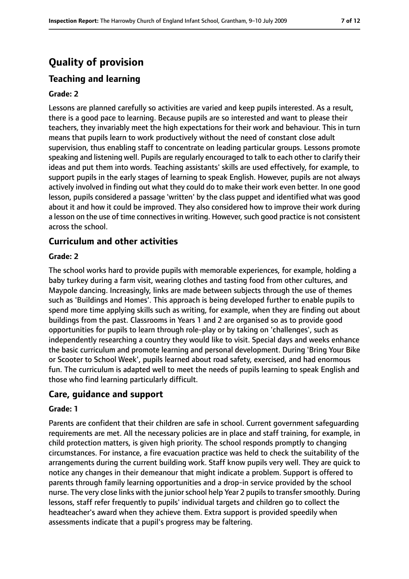## **Quality of provision**

## **Teaching and learning**

### **Grade: 2**

Lessons are planned carefully so activities are varied and keep pupils interested. As a result, there is a good pace to learning. Because pupils are so interested and want to please their teachers, they invariably meet the high expectations for their work and behaviour. This in turn means that pupils learn to work productively without the need of constant close adult supervision, thus enabling staff to concentrate on leading particular groups. Lessons promote speaking and listening well. Pupils are regularly encouraged to talk to each other to clarify their ideas and put them into words. Teaching assistants' skills are used effectively, for example, to support pupils in the early stages of learning to speak English. However, pupils are not always actively involved in finding out what they could do to make their work even better. In one good lesson, pupils considered a passage 'written' by the class puppet and identified what was good about it and how it could be improved. They also considered how to improve their work during a lesson on the use of time connectives in writing. However, such good practice is not consistent across the school.

#### **Curriculum and other activities**

#### **Grade: 2**

The school works hard to provide pupils with memorable experiences, for example, holding a baby turkey during a farm visit, wearing clothes and tasting food from other cultures, and Maypole dancing. Increasingly, links are made between subjects through the use of themes such as 'Buildings and Homes'. This approach is being developed further to enable pupils to spend more time applying skills such as writing, for example, when they are finding out about buildings from the past. Classrooms in Years 1 and 2 are organised so as to provide good opportunities for pupils to learn through role-play or by taking on 'challenges', such as independently researching a country they would like to visit. Special days and weeks enhance the basic curriculum and promote learning and personal development. During 'Bring Your Bike or Scooter to School Week', pupils learned about road safety, exercised, and had enormous fun. The curriculum is adapted well to meet the needs of pupils learning to speak English and those who find learning particularly difficult.

### **Care, guidance and support**

#### **Grade: 1**

Parents are confident that their children are safe in school. Current government safeguarding requirements are met. All the necessary policies are in place and staff training, for example, in child protection matters, is given high priority. The school responds promptly to changing circumstances. For instance, a fire evacuation practice was held to check the suitability of the arrangements during the current building work. Staff know pupils very well. They are quick to notice any changes in their demeanour that might indicate a problem. Support is offered to parents through family learning opportunities and a drop-in service provided by the school nurse. The very close links with the junior school help Year 2 pupils to transfer smoothly. During lessons, staff refer frequently to pupils' individual targets and children go to collect the headteacher's award when they achieve them. Extra support is provided speedily when assessments indicate that a pupil's progress may be faltering.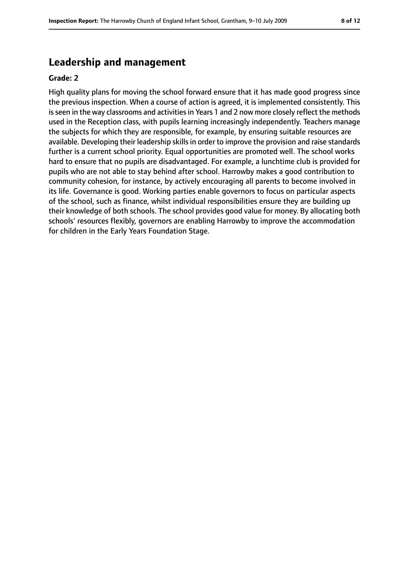## **Leadership and management**

#### **Grade: 2**

High quality plans for moving the school forward ensure that it has made good progress since the previous inspection. When a course of action is agreed, it is implemented consistently. This is seen in the way classrooms and activities in Years 1 and 2 now more closely reflect the methods used in the Reception class, with pupils learning increasingly independently. Teachers manage the subjects for which they are responsible, for example, by ensuring suitable resources are available. Developing their leadership skills in order to improve the provision and raise standards further is a current school priority. Equal opportunities are promoted well. The school works hard to ensure that no pupils are disadvantaged. For example, a lunchtime club is provided for pupils who are not able to stay behind after school. Harrowby makes a good contribution to community cohesion, for instance, by actively encouraging all parents to become involved in its life. Governance is good. Working parties enable governors to focus on particular aspects of the school, such as finance, whilst individual responsibilities ensure they are building up their knowledge of both schools. The school provides good value for money. By allocating both schools' resources flexibly, governors are enabling Harrowby to improve the accommodation for children in the Early Years Foundation Stage.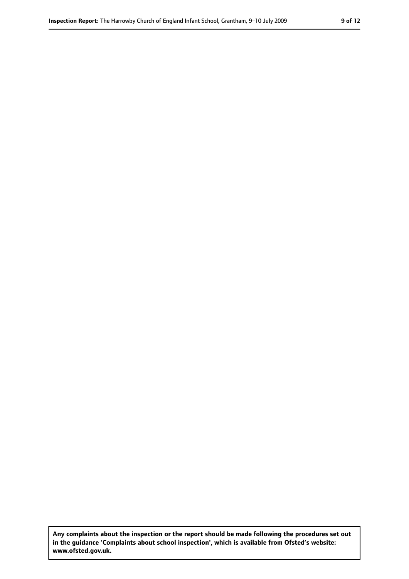**Any complaints about the inspection or the report should be made following the procedures set out in the guidance 'Complaints about school inspection', which is available from Ofsted's website: www.ofsted.gov.uk.**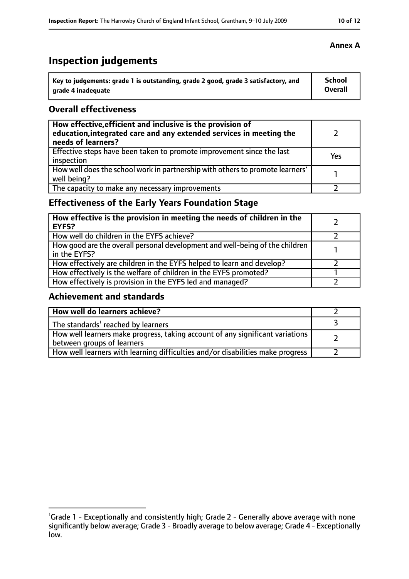## **Inspection judgements**

| Key to judgements: grade 1 is outstanding, grade 2 good, grade 3 satisfactory, and | <b>School</b>  |
|------------------------------------------------------------------------------------|----------------|
| arade 4 inadequate                                                                 | <b>Overall</b> |

#### **Overall effectiveness**

| How effective, efficient and inclusive is the provision of<br>education, integrated care and any extended services in meeting the<br>needs of learners? |     |
|---------------------------------------------------------------------------------------------------------------------------------------------------------|-----|
| Effective steps have been taken to promote improvement since the last<br>inspection                                                                     | Yes |
| How well does the school work in partnership with others to promote learners'<br>well being?                                                            |     |
| The capacity to make any necessary improvements                                                                                                         |     |

## **Effectiveness of the Early Years Foundation Stage**

| How effective is the provision in meeting the needs of children in the<br><b>EYFS?</b>       |  |
|----------------------------------------------------------------------------------------------|--|
| How well do children in the EYFS achieve?                                                    |  |
| How good are the overall personal development and well-being of the children<br>in the EYFS? |  |
| How effectively are children in the EYFS helped to learn and develop?                        |  |
| How effectively is the welfare of children in the EYFS promoted?                             |  |
| How effectively is provision in the EYFS led and managed?                                    |  |

### **Achievement and standards**

| How well do learners achieve?                                                                               |  |
|-------------------------------------------------------------------------------------------------------------|--|
| The standards <sup>1</sup> reached by learners                                                              |  |
| How well learners make progress, taking account of any significant variations<br>between groups of learners |  |
| How well learners with learning difficulties and/or disabilities make progress                              |  |

#### **Annex A**

<sup>&</sup>lt;sup>1</sup>Grade 1 - Exceptionally and consistently high; Grade 2 - Generally above average with none significantly below average; Grade 3 - Broadly average to below average; Grade 4 - Exceptionally low.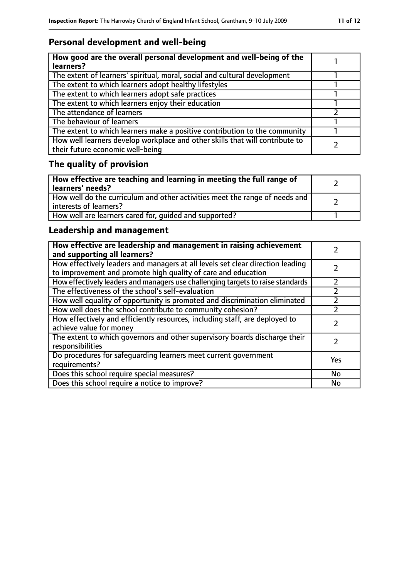## **Personal development and well-being**

| How good are the overall personal development and well-being of the<br>learners?                                 |  |
|------------------------------------------------------------------------------------------------------------------|--|
| The extent of learners' spiritual, moral, social and cultural development                                        |  |
| The extent to which learners adopt healthy lifestyles                                                            |  |
| The extent to which learners adopt safe practices                                                                |  |
| The extent to which learners enjoy their education                                                               |  |
| The attendance of learners                                                                                       |  |
| The behaviour of learners                                                                                        |  |
| The extent to which learners make a positive contribution to the community                                       |  |
| How well learners develop workplace and other skills that will contribute to<br>their future economic well-being |  |

## **The quality of provision**

| How effective are teaching and learning in meeting the full range of<br>learners' needs?              |  |
|-------------------------------------------------------------------------------------------------------|--|
| How well do the curriculum and other activities meet the range of needs and<br>interests of learners? |  |
| How well are learners cared for, quided and supported?                                                |  |

## **Leadership and management**

| How effective are leadership and management in raising achievement<br>and supporting all learners?                                              |     |
|-------------------------------------------------------------------------------------------------------------------------------------------------|-----|
| How effectively leaders and managers at all levels set clear direction leading<br>to improvement and promote high quality of care and education |     |
| How effectively leaders and managers use challenging targets to raise standards                                                                 |     |
| The effectiveness of the school's self-evaluation                                                                                               |     |
| How well equality of opportunity is promoted and discrimination eliminated                                                                      |     |
| How well does the school contribute to community cohesion?                                                                                      |     |
| How effectively and efficiently resources, including staff, are deployed to<br>achieve value for money                                          |     |
| The extent to which governors and other supervisory boards discharge their<br>responsibilities                                                  |     |
| Do procedures for safequarding learners meet current government<br>requirements?                                                                | Yes |
| Does this school require special measures?                                                                                                      | No  |
| Does this school require a notice to improve?                                                                                                   | No  |